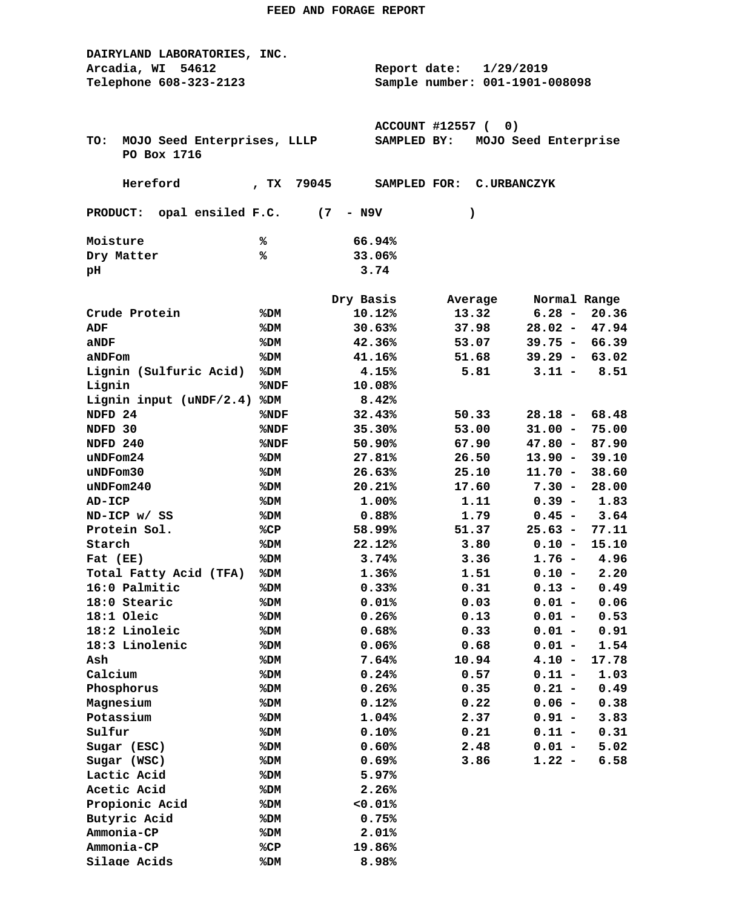| DAIRYLAND LABORATORIES, INC.         |                         |                  |                                |                        |                |  |
|--------------------------------------|-------------------------|------------------|--------------------------------|------------------------|----------------|--|
| Arcadia, WI<br>54612                 |                         |                  | Report date:<br>1/29/2019      |                        |                |  |
| Telephone 608-323-2123               |                         |                  | Sample number: 001-1901-008098 |                        |                |  |
|                                      |                         |                  |                                |                        |                |  |
|                                      |                         |                  |                                |                        |                |  |
|                                      |                         |                  | <b>ACCOUNT #12557 (</b><br>0)  |                        |                |  |
| MOJO Seed Enterprises, LLLP<br>TO:   |                         | SAMPLED BY:      |                                | MOJO Seed Enterprise   |                |  |
| PO Box 1716                          |                         |                  |                                |                        |                |  |
|                                      |                         |                  |                                |                        |                |  |
| Hereford                             | $^{\prime}$ TX<br>79045 | SAMPLED FOR:     | C.URBANCZYK                    |                        |                |  |
|                                      |                         |                  |                                |                        |                |  |
| PRODUCT: opal ensiled F.C.           | (7)                     | - N9V            | )                              |                        |                |  |
|                                      |                         |                  |                                |                        |                |  |
| Moisture                             | ℁                       | 66.94%           |                                |                        |                |  |
| Dry Matter                           | %                       | 33.06%           |                                |                        |                |  |
| pН                                   |                         | 3.74             |                                |                        |                |  |
|                                      |                         | Dry Basis        |                                | Normal Range           |                |  |
| Crude Protein                        | %DM                     | 10.12%           | Average<br>13.32               | $6.28 -$               | 20.36          |  |
| ADF                                  | %DM                     | 30.63%           | 37.98                          | $28.02 -$              | 47.94          |  |
|                                      |                         | 42.36%           | 53.07                          | $39.75 -$              | 66.39          |  |
| aNDF                                 | %DM                     |                  |                                |                        |                |  |
| aNDFom                               | %DM                     | 41.16%           | 51.68                          | $39.29 -$              | 63.02          |  |
| Lignin (Sulfuric Acid)<br>Lignin     | %DM                     | 4.15%<br>10.08%  | 5.81                           | $3.11 -$               | 8.51           |  |
|                                      | %NDF                    | 8.42%            |                                |                        |                |  |
| Lignin input $(uNDF/2.4)$<br>NDFD 24 | %DM                     | 32.43%           | 50.33                          |                        | 68.48          |  |
|                                      | %NDF                    |                  |                                | $28.18 -$              |                |  |
| NDFD 30                              | %NDF                    | 35.30%           | 53.00                          | $31.00 -$              | 75.00          |  |
| NDFD 240<br>uNDFom24                 | %NDF                    | 50.90%<br>27.81% | 67.90<br>26.50                 | $47.80 -$<br>$13.90 -$ | 87.90<br>39.10 |  |
| uNDFom30                             | %DM                     | 26.63%           | 25.10                          | $11.70 -$              | 38.60          |  |
| $u$ NDF $om240$                      | %DM<br>%DM              | 20.21%           | 17.60                          | $7.30 -$               | 28.00          |  |
| AD-ICP                               | %DM                     | 1.00%            | 1.11                           | $0.39 -$               | 1.83           |  |
| ND-ICP w/ SS                         | %DM                     | 0.88%            | 1.79                           | $0.45 -$               | 3.64           |  |
| Protein Sol.                         | %CP                     | 58.99%           | 51.37                          | $25.63 -$              | 77.11          |  |
| Starch                               | %DM                     | 22.12%           | 3.80                           | $0.10 -$               | 15.10          |  |
| Fat (EE)                             | %DM                     | 3.74%            | 3.36                           | $1.76 -$               | 4.96           |  |
| Total Fatty Acid (TFA)               | %DM                     | 1.36%            | 1.51                           | $0.10 -$               | 2.20           |  |
| 16:0 Palmitic                        | %DM                     | 0.33%            | 0.31                           | $0.13 -$               | 0.49           |  |
| 18:0 Stearic                         |                         | 0.01%            | 0.03                           |                        | 0.06           |  |
| 18:1 Oleic                           | %DM<br>%DM              | 0.26%            | 0.13                           | $0.01 -$<br>$0.01 -$   | 0.53           |  |
| 18:2 Linoleic                        | %DM                     | 0.68%            | 0.33                           | $0.01 -$               | 0.91           |  |
| 18:3 Linolenic                       | %DM                     | 0.06%            | 0.68                           | $0.01 -$               | 1.54           |  |
| Ash                                  | %DM                     | 7.64%            | 10.94                          | $4.10 -$               | 17.78          |  |
| Calcium                              | %DM                     | 0.24%            | 0.57                           | $0.11 -$               | 1.03           |  |
| Phosphorus                           | %DM                     | 0.26%            | 0.35                           | $0.21 -$               | 0.49           |  |
| Magnesium                            | %DM                     | 0.12%            | 0.22                           | $0.06 -$               | 0.38           |  |
| Potassium                            | %DM                     | 1.04%            | 2.37                           | $0.91 -$               | 3.83           |  |
| Sulfur                               | %DM                     | 0.10%            | 0.21                           | $0.11 -$               | 0.31           |  |
| Sugar (ESC)                          | %DM                     | 0.60%            | 2.48                           | $0.01 -$               | 5.02           |  |
| Sugar (WSC)                          | %DM                     | 0.69%            | 3.86                           | $1.22 -$               | 6.58           |  |
| Lactic Acid                          | %DM                     | 5.97%            |                                |                        |                |  |
| Acetic Acid                          | %DM                     | 2.26%            |                                |                        |                |  |
| Propionic Acid                       | %DM                     | 0.01%            |                                |                        |                |  |
| Butyric Acid                         | %DM                     | 0.75%            |                                |                        |                |  |
| Ammonia-CP                           | %DM                     | 2.01%            |                                |                        |                |  |
| Ammonia-CP                           | %CP                     | 19.86%           |                                |                        |                |  |
| Silage Acids                         | %DM                     | 8.98%            |                                |                        |                |  |
|                                      |                         |                  |                                |                        |                |  |